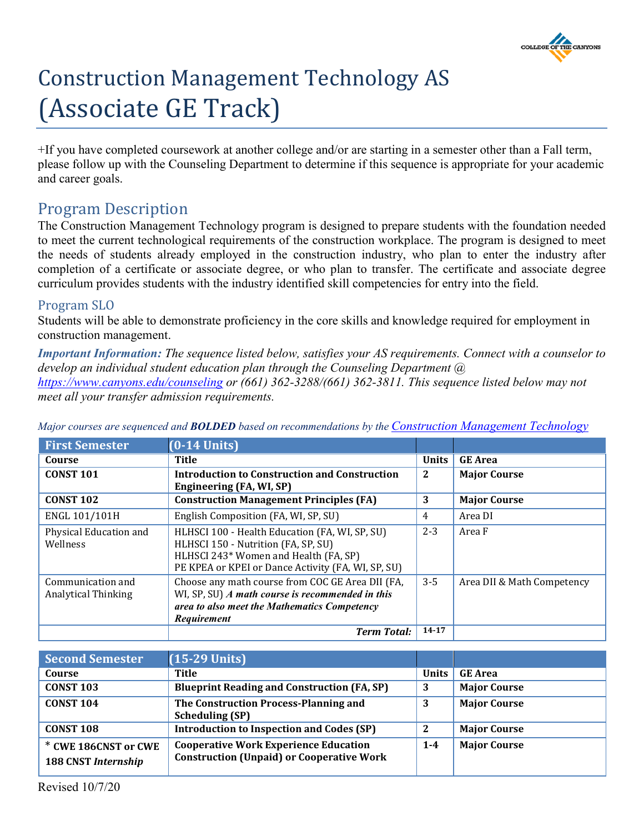

# Construction Management Technology AS (Associate GE Track)

+If you have completed coursework at another college and/or are starting in a semester other than a Fall term, please follow up with the Counseling Department to determine if this sequence is appropriate for your academic and career goals.

# Program Description

The Construction Management Technology program is designed to prepare students with the foundation needed to meet the current technological requirements of the construction workplace. The program is designed to meet the needs of students already employed in the construction industry, who plan to enter the industry after completion of a certificate or associate degree, or who plan to transfer. The certificate and associate degree curriculum provides students with the industry identified skill competencies for entry into the field.

# Program SLO

Students will be able to demonstrate proficiency in the core skills and knowledge required for employment in construction management.

*Important Information: The sequence listed below, satisfies your AS requirements. Connect with a counselor to develop an individual student education plan through the Counseling Department @ <https://www.canyons.edu/counseling> or (661) 362-3288/(661) 362-3811. This sequence listed below may not meet all your transfer admission requirements.*

| <b>First Semester</b>                           | $(0-14$ Units)                                                                                                                                                        |              |                            |
|-------------------------------------------------|-----------------------------------------------------------------------------------------------------------------------------------------------------------------------|--------------|----------------------------|
| Course                                          | Title                                                                                                                                                                 | <b>Units</b> | <b>GE</b> Area             |
| <b>CONST 101</b>                                | <b>Introduction to Construction and Construction</b>                                                                                                                  | $\mathbf{2}$ | <b>Major Course</b>        |
|                                                 | Engineering (FA, WI, SP)                                                                                                                                              |              |                            |
| <b>CONST 102</b>                                | <b>Construction Management Principles (FA)</b>                                                                                                                        | 3            | <b>Major Course</b>        |
| ENGL 101/101H                                   | English Composition (FA, WI, SP, SU)                                                                                                                                  | 4            | Area DI                    |
| Physical Education and<br>Wellness              | HLHSCI 100 - Health Education (FA, WI, SP, SU)<br>HLHSCI 150 - Nutrition (FA, SP, SU)<br>HLHSCI 243* Women and Health (FA, SP)                                        | $2 - 3$      | Area F                     |
|                                                 | PE KPEA or KPEI or Dance Activity (FA, WI, SP, SU)                                                                                                                    |              |                            |
| Communication and<br><b>Analytical Thinking</b> | Choose any math course from COC GE Area DII (FA,<br>WI, SP, SU) $A$ math course is recommended in this<br>area to also meet the Mathematics Competency<br>Requirement | $3 - 5$      | Area DII & Math Competency |
|                                                 | <b>Term Total:</b>                                                                                                                                                    | 14-17        |                            |

*Major courses are sequenced and BOLDED based on recommendations by the [Construction Management Technology](http://www.canyons.edu/const)*

| <b>Second Semester</b>                             | $(15-29$ Units)                                                                                  |              |                     |
|----------------------------------------------------|--------------------------------------------------------------------------------------------------|--------------|---------------------|
| Course                                             | Title                                                                                            | <b>Units</b> | <b>GE</b> Area      |
| <b>CONST 103</b>                                   | <b>Blueprint Reading and Construction (FA, SP)</b>                                               | 3            | <b>Major Course</b> |
| <b>CONST 104</b>                                   | The Construction Process-Planning and<br><b>Scheduling (SP)</b>                                  | 3            | <b>Major Course</b> |
| <b>CONST 108</b>                                   | <b>Introduction to Inspection and Codes (SP)</b>                                                 | 2            | <b>Major Course</b> |
| * CWE 186CNST or CWE<br><b>188 CNST Internship</b> | <b>Cooperative Work Experience Education</b><br><b>Construction (Unpaid) or Cooperative Work</b> | $1 - 4$      | <b>Major Course</b> |

Revised 10/7/20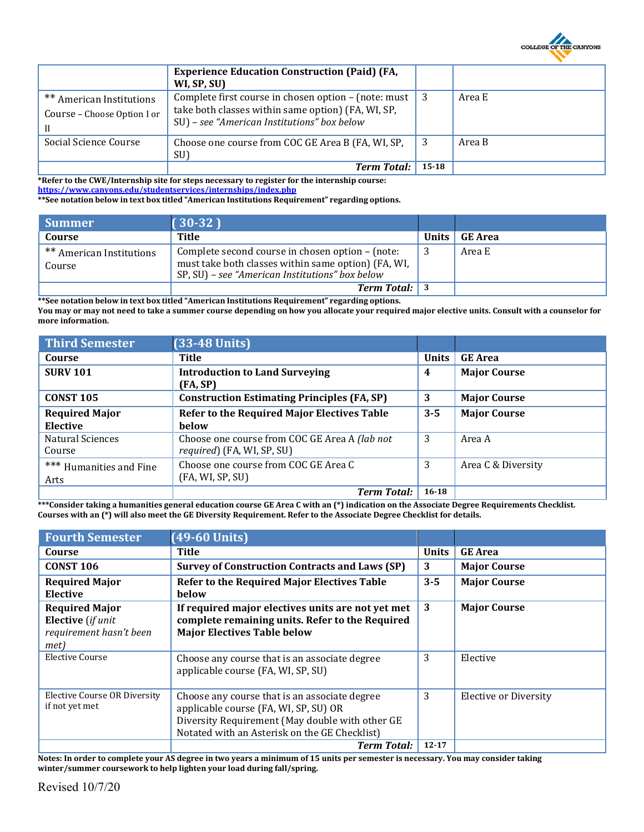

|                                                         | <b>Experience Education Construction (Paid) (FA,</b><br>WI, SP, SU)                                                                                                           |           |        |
|---------------------------------------------------------|-------------------------------------------------------------------------------------------------------------------------------------------------------------------------------|-----------|--------|
| ** American Institutions<br>Course - Choose Option I or | Complete first course in chosen option $-$ (note: must $\vert 3 \rangle$<br>take both classes within same option) (FA, WI, SP,<br>SU) - see "American Institutions" box below |           | Area E |
| Social Science Course                                   | Choose one course from COC GE Area B (FA, WI, SP,<br>SU)                                                                                                                      |           | Area B |
|                                                         | <b>Term Total:</b>                                                                                                                                                            | $15 - 18$ |        |

**\*Refer to the CWE/Internship site for steps necessary to register for the internship course: <https://www.canyons.edu/studentservices/internships/index.php>**

**\*\*See notation below in text box titled "American Institutions Requirement" regarding options.**

| Summer                                        | $(30-32)$                                                                                                                                                  |                 |
|-----------------------------------------------|------------------------------------------------------------------------------------------------------------------------------------------------------------|-----------------|
| Course                                        | Title                                                                                                                                                      | Units   GE Area |
| <sup>**</sup> American Institutions<br>Course | Complete second course in chosen option – (note:<br>must take both classes within same option) (FA, WI,<br>SP, SU) – see "American Institutions" box below | Area E          |
|                                               | <b>Term Total:</b> 3                                                                                                                                       |                 |

**\*\*See notation below in text box titled "American Institutions Requirement" regarding options. You may or may not need to take a summer course depending on how you allocate your required major elective units. Consult with a counselor for more information.**

| <b>Third Semester</b>   | $(33-48$ Units)                                    |              |                     |
|-------------------------|----------------------------------------------------|--------------|---------------------|
| Course                  | Title                                              | <b>Units</b> | <b>GE</b> Area      |
| <b>SURV 101</b>         | <b>Introduction to Land Surveying</b>              | 4            | <b>Major Course</b> |
|                         | (FA, SP)                                           |              |                     |
| <b>CONST 105</b>        | <b>Construction Estimating Principles (FA, SP)</b> | 3            | <b>Major Course</b> |
| <b>Required Major</b>   | <b>Refer to the Required Major Electives Table</b> | $3 - 5$      | <b>Major Course</b> |
| Elective                | <b>below</b>                                       |              |                     |
| <b>Natural Sciences</b> | Choose one course from COC GE Area A (lab not      | 3            | Area A              |
| Course                  | required) (FA, WI, SP, SU)                         |              |                     |
| *** Humanities and Fine | Choose one course from COC GE Area C               | 3            | Area C & Diversity  |
| Arts                    | (FA, WI, SP, SU)                                   |              |                     |
|                         | <b>Term Total:</b>                                 | $16 - 18$    |                     |

**\*\*\*Consider taking a humanities general education course GE Area C with an (\*) indication on the Associate Degree Requirements Checklist. Courses with an (\*) will also meet the GE Diversity Requirement. Refer to the Associate Degree Checklist for details.**

| <b>Fourth Semester</b>                                                               | $(49-60$ Units)                                                                                                                                                                            |              |                              |
|--------------------------------------------------------------------------------------|--------------------------------------------------------------------------------------------------------------------------------------------------------------------------------------------|--------------|------------------------------|
| Course                                                                               | <b>Title</b>                                                                                                                                                                               | <b>Units</b> | <b>GE Area</b>               |
| <b>CONST 106</b>                                                                     | <b>Survey of Construction Contracts and Laws (SP)</b>                                                                                                                                      | 3            | <b>Major Course</b>          |
| <b>Required Major</b><br>Elective                                                    | <b>Refer to the Required Major Electives Table</b><br><b>below</b>                                                                                                                         | $3 - 5$      | <b>Major Course</b>          |
| <b>Required Major</b><br><b>Elective</b> (if unit<br>requirement hasn't been<br>met) | If required major electives units are not yet met<br>complete remaining units. Refer to the Required<br><b>Major Electives Table below</b>                                                 | 3            | <b>Major Course</b>          |
| Elective Course                                                                      | Choose any course that is an associate degree<br>applicable course (FA, WI, SP, SU)                                                                                                        | 3            | Elective                     |
| <b>Elective Course OR Diversity</b><br>if not yet met                                | Choose any course that is an associate degree<br>applicable course (FA, WI, SP, SU) OR<br>Diversity Requirement (May double with other GE<br>Notated with an Asterisk on the GE Checklist) | 3            | <b>Elective or Diversity</b> |
|                                                                                      | <b>Term Total:</b>                                                                                                                                                                         | $12 - 17$    |                              |

**Notes: In order to complete your AS degree in two years a minimum of 15 units per semester is necessary. You may consider taking winter/summer coursework to help lighten your load during fall/spring.**